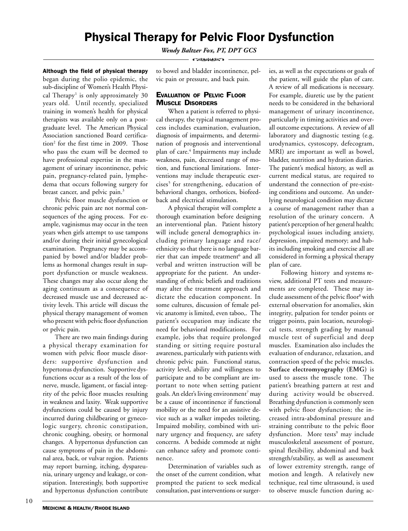# Physical Therapy for Pelvic Floor Dysfunction

*Wendy Baltzer Fox, PT, DPT GCS*

**COMMAND** 

Although the field of physical therapy began during the polio epidemic, the sub-discipline of Women's Health Physical Therapy<sup>1</sup> is only approximately 30 years old. Until recently, specialized training in women's health for physical therapists was available only on a postgraduate level. The American Physical Association sanctioned Board certification<sup>2</sup> for the first time in 2009. Those who pass the exam will be deemed to have professional expertise in the management of urinary incontinence, pelvic pain, pregnancy-related pain, lymphedema that occurs following surgery for breast cancer, and pelvic pain.<sup>3</sup>

Pelvic floor muscle dysfunction or chronic pelvic pain are not normal consequences of the aging process. For example, vaginismus may occur in the teen years when girls attempt to use tampons and/or during their initial gynecological examination. Pregnancy may be accompanied by bowel and/or bladder problems as hormonal changes result in support dysfunction or muscle weakness. These changes may also occur along the aging continuum as a consequence of decreased muscle use and decreased activity levels. This article will discuss the physical therapy management of women who present with pelvic floor dysfunction or pelvic pain.

There are two main findings during a physical therapy examination for women with pelvic floor muscle disorders: supportive dysfunction and hypertonus dysfunction. Supportive dysfunctions occur as a result of the loss of nerve, muscle, ligament, or fascial integrity of the pelvic floor muscles resulting in weakness and laxity. Weak supportive dysfunctions could be caused by injury incurred during childbearing or gynecologic surgery, chronic constipation, chronic coughing, obesity, or hormonal changes. A hypertonus dysfunction can cause symptoms of pain in the abdominal area, back, or vulvar region. Patients may report burning, itching, dyspareunia, urinary urgency and leakage, or constipation. Interestingly, both supportive and hypertonus dysfunction contribute

to bowel and bladder incontinence, pelvic pain or pressure, and back pain.

# EVALUATION OF PELVIC FLOOR MUSCLE DISORDERS

When a patient is referred to physical therapy, the typical management process includes examination, evaluation, diagnosis of impairments, and determination of prognosis and interventional plan of care.4 Impairments may include weakness, pain, decreased range of motion, and functional limitations. Interventions may include therapeutic exercises<sup>5</sup> for strengthening, education of behavioral changes, orthotices, biofeedback and electrical stimulation.

A physical therapist will complete a thorough examination before designing an interventional plan. Patient history will include general demographics including primary language and race/ ethnicity so that there is no language barrier that can impede treatment<sup>6</sup> and all verbal and written instruction will be appropriate for the patient. An understanding of ethnic beliefs and traditions may alter the treatment approach and dictate the education component. In some cultures, discussion of female pelvic anatomy is limited, even taboo,. The patient's occupation may indicate the need for behavioral modifications. For example, jobs that require prolonged standing or sitting require postural awareness, particularly with patients with chronic pelvic pain. Functional status, activity level, ability and willingness to participate and to be compliant are important to note when setting patient goals. An elder's living environment $^7$  may be a cause of incontinence if functional mobility or the need for an assistive device such as a walker impedes toileting. Impaired mobility, combined with urinary urgency and frequency, are safety concerns. A bedside commode at night can enhance safety and promote continence.

Determination of variables such as the onset of the current condition, what prompted the patient to seek medical consultation, past interventions or surger-

ies, as well as the expectations or goals of the patient, will guide the plan of care. A review of all medications is necessary. For example, diuretic use by the patient needs to be considered in the behavioral management of urinary incontinence, particularly in timing activities and overall outcome expectations. A review of all laboratory and diagnostic testing (e.g. urodynamics, cystoscopy, defecogram, MRI) are important as well as bowel, bladder, nutrition and hydration diaries. The patient's medical history, as well as current medical status, are required to understand the connection of pre-existing conditions and outcome. An underlying neurological condition may dictate a course of management rather than a resolution of the urinary concern. A patient's perception of her general health; psychological issues including anxiety, depression, impaired memory; and habits including smoking and exercise all are considered in forming a physical therapy plan of care.

Following history and systems review, additional PT tests and measurements are completed. These may include assessment of the pelvic floor<sup>8</sup> with external observation for anomalies, skin integrity, palpation for tender points or trigger points, pain location, neurological tests, strength grading by manual muscle test of superficial and deep muscles. Examination also includes the evaluation of endurance, relaxation, and contraction speed of the pelvic muscles. **Surface electromyography (EMG)** is used to assess the muscle tone. The patient's breathing pattern at rest and during activity would be observed. Breathing dysfunction is commonly seen with pelvic floor dysfunction; the increased intra-abdominal pressure and straining contribute to the pelvic floor dysfunction. More tests<sup>9</sup> may include musculoskeletal assessment of posture, spinal flexibility, abdominal and back strength/stability, as well as assessment of lower extremity strength, range of motion and length. A relatively new technique, real time ultrasound, is used to observe muscle function during ac